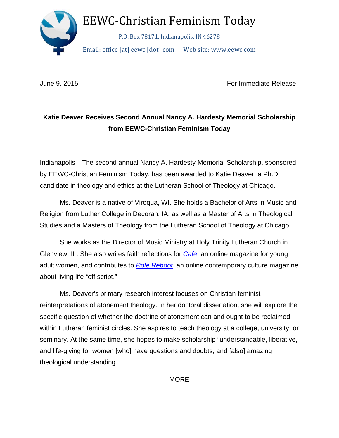

June 9, 2015 **For Immediate Release** 

## **Katie Deaver Receives Second Annual Nancy A. Hardesty Memorial Scholarship from EEWC-Christian Feminism Today**

Indianapolis—The second annual Nancy A. Hardesty Memorial Scholarship, sponsored by EEWC-Christian Feminism Today, has been awarded to Katie Deaver, a Ph.D. candidate in theology and ethics at the Lutheran School of Theology at Chicago.

 Ms. Deaver is a native of Viroqua, WI. She holds a Bachelor of Arts in Music and Religion from Luther College in Decorah, IA, as well as a Master of Arts in Theological Studies and a Masters of Theology from the Lutheran School of Theology at Chicago.

She works as the Director of Music Ministry at Holy Trinity Lutheran Church in Glenview, IL. She also writes faith reflections for *Café*, an online magazine for young adult women, and contributes to *Role Reboot*, an online contemporary culture magazine about living life "off script."

Ms. Deaver's primary research interest focuses on Christian feminist reinterpretations of atonement theology. In her doctoral dissertation, she will explore the specific question of whether the doctrine of atonement can and ought to be reclaimed within Lutheran feminist circles. She aspires to teach theology at a college, university, or seminary. At the same time, she hopes to make scholarship "understandable, liberative, and life-giving for women [who] have questions and doubts, and [also] amazing theological understanding.

-MORE-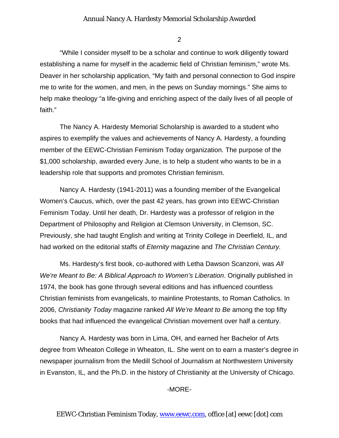## Annual Nancy A. Hardesty Memorial Scholarship Awarded

2

 "While I consider myself to be a scholar and continue to work diligently toward establishing a name for myself in the academic field of Christian feminism," wrote Ms. Deaver in her scholarship application, "My faith and personal connection to God inspire me to write for the women, and men, in the pews on Sunday mornings." She aims to help make theology "a life-giving and enriching aspect of the daily lives of all people of faith."

 The Nancy A. Hardesty Memorial Scholarship is awarded to a student who aspires to exemplify the values and achievements of Nancy A. Hardesty, a founding member of the EEWC-Christian Feminism Today organization. The purpose of the \$1,000 scholarship, awarded every June, is to help a student who wants to be in a leadership role that supports and promotes Christian feminism.

Nancy A. Hardesty (1941-2011) was a founding member of the Evangelical Women's Caucus, which, over the past 42 years, has grown into EEWC-Christian Feminism Today. Until her death, Dr. Hardesty was a professor of religion in the Department of Philosophy and Religion at Clemson University, in Clemson, SC. Previously, she had taught English and writing at Trinity College in Deerfield, IL, and had worked on the editorial staffs of *Eternity* magazine and *The Christian Century.*

Ms. Hardesty's first book, co-authored with Letha Dawson Scanzoni, was *All We're Meant to Be: A Biblical Approach to Women's Liberation*. Originally published in 1974, the book has gone through several editions and has influenced countless Christian feminists from evangelicals, to mainline Protestants, to Roman Catholics. In 2006, *Christianity Today* magazine ranked *All We're Meant to Be* among the top fifty books that had influenced the evangelical Christian movement over half a century.

Nancy A. Hardesty was born in Lima, OH, and earned her Bachelor of Arts degree from Wheaton College in Wheaton, IL. She went on to earn a master's degree in newspaper journalism from the Medill School of Journalism at Northwestern University in Evanston, IL, and the Ph.D. in the history of Christianity at the University of Chicago.

-MORE-